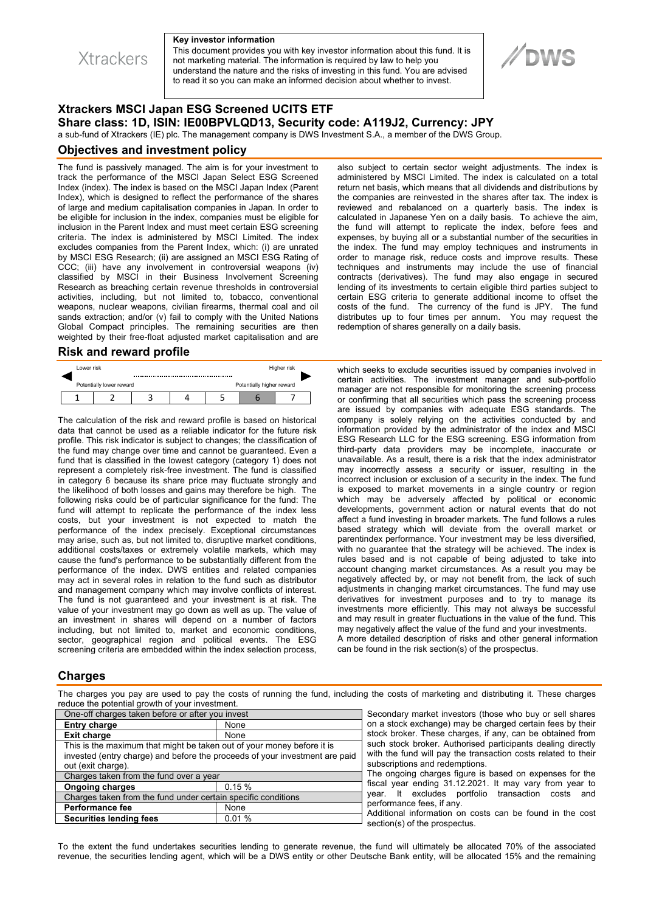**Xtrackers** 

#### **Key investor information**

This document provides you with key investor information about this fund. It is not marketing material. The information is required by law to help you understand the nature and the risks of investing in this fund. You are advised to read it so you can make an informed decision about whether to invest.

# //DWS

## **Xtrackers MSCI Japan ESG Screened UCITS ETF Share class: 1D, ISIN: IE00BPVLQD13, Security code: A119J2, Currency: JPY**

a sub-fund of Xtrackers (IE) plc. The management company is DWS Investment S.A., a member of the DWS Group.

#### **Objectives and investment policy**

The fund is passively managed. The aim is for your investment to track the performance of the MSCI Japan Select ESG Screened Index (index). The index is based on the MSCI Japan Index (Parent Index), which is designed to reflect the performance of the shares of large and medium capitalisation companies in Japan. In order to be eligible for inclusion in the index, companies must be eligible for inclusion in the Parent Index and must meet certain ESG screening criteria. The index is administered by MSCI Limited. The index excludes companies from the Parent Index, which: (i) are unrated by MSCI ESG Research; (ii) are assigned an MSCI ESG Rating of CCC; (iii) have any involvement in controversial weapons (iv) classified by MSCI in their Business Involvement Screening Research as breaching certain revenue thresholds in controversial activities, including, but not limited to, tobacco, conventional weapons, nuclear weapons, civilian firearms, thermal coal and oil sands extraction; and/or (v) fail to comply with the United Nations Global Compact principles. The remaining securities are then weighted by their free-float adjusted market capitalisation and are

#### **Risk and reward profile**

| Lower risk |                          |                           |  |  | Higher risk |
|------------|--------------------------|---------------------------|--|--|-------------|
|            | Potentially lower reward | Potentially higher reward |  |  |             |
|            |                          |                           |  |  |             |

The calculation of the risk and reward profile is based on historical data that cannot be used as a reliable indicator for the future risk profile. This risk indicator is subject to changes; the classification of the fund may change over time and cannot be guaranteed. Even a fund that is classified in the lowest category (category 1) does not represent a completely risk-free investment. The fund is classified in category 6 because its share price may fluctuate strongly and the likelihood of both losses and gains may therefore be high. The following risks could be of particular significance for the fund: The fund will attempt to replicate the performance of the index less costs, but your investment is not expected to match the performance of the index precisely. Exceptional circumstances may arise, such as, but not limited to, disruptive market conditions, additional costs/taxes or extremely volatile markets, which may cause the fund's performance to be substantially different from the performance of the index. DWS entities and related companies may act in several roles in relation to the fund such as distributor and management company which may involve conflicts of interest. The fund is not guaranteed and your investment is at risk. The value of your investment may go down as well as up. The value of an investment in shares will depend on a number of factors including, but not limited to, market and economic conditions, sector, geographical region and political events. The ESG screening criteria are embedded within the index selection process,

also subject to certain sector weight adjustments. The index is administered by MSCI Limited. The index is calculated on a total return net basis, which means that all dividends and distributions by the companies are reinvested in the shares after tax. The index is reviewed and rebalanced on a quarterly basis. The index is calculated in Japanese Yen on a daily basis. To achieve the aim, the fund will attempt to replicate the index, before fees and expenses, by buying all or a substantial number of the securities in the index. The fund may employ techniques and instruments in order to manage risk, reduce costs and improve results. These techniques and instruments may include the use of financial contracts (derivatives). The fund may also engage in secured lending of its investments to certain eligible third parties subject to certain ESG criteria to generate additional income to offset the costs of the fund. The currency of the fund is JPY. The fund distributes up to four times per annum. You may request the redemption of shares generally on a daily basis.

which seeks to exclude securities issued by companies involved in certain activities. The investment manager and sub-portfolio manager are not responsible for monitoring the screening process or confirming that all securities which pass the screening process are issued by companies with adequate ESG standards. The company is solely relying on the activities conducted by and information provided by the administrator of the index and MSCI ESG Research LLC for the ESG screening. ESG information from third-party data providers may be incomplete, inaccurate or unavailable. As a result, there is a risk that the index administrator may incorrectly assess a security or issuer, resulting in the incorrect inclusion or exclusion of a security in the index. The fund is exposed to market movements in a single country or region which may be adversely affected by political or economic developments, government action or natural events that do not affect a fund investing in broader markets. The fund follows a rules based strategy which will deviate from the overall market or parentindex performance. Your investment may be less diversified, with no guarantee that the strategy will be achieved. The index is rules based and is not capable of being adjusted to take into account changing market circumstances. As a result you may be negatively affected by, or may not benefit from, the lack of such adjustments in changing market circumstances. The fund may use derivatives for investment purposes and to try to manage its investments more efficiently. This may not always be successful and may result in greater fluctuations in the value of the fund. This may negatively affect the value of the fund and your investments. A more detailed description of risks and other general information can be found in the risk section(s) of the prospectus.

### **Charges**

The charges you pay are used to pay the costs of running the fund, including the costs of marketing and distributing it. These charges reduce the potential growth of your investment.

| One-off charges taken before or after you invest                            |       |  |  |  |  |
|-----------------------------------------------------------------------------|-------|--|--|--|--|
| <b>Entry charge</b>                                                         | None  |  |  |  |  |
| <b>Exit charge</b>                                                          | None  |  |  |  |  |
| This is the maximum that might be taken out of your money before it is      |       |  |  |  |  |
| invested (entry charge) and before the proceeds of your investment are paid |       |  |  |  |  |
| out (exit charge).                                                          |       |  |  |  |  |
| Charges taken from the fund over a year                                     |       |  |  |  |  |
| <b>Ongoing charges</b>                                                      | 0.15% |  |  |  |  |
| Charges taken from the fund under certain specific conditions               |       |  |  |  |  |
| <b>Performance fee</b>                                                      | None  |  |  |  |  |
| <b>Securities lending fees</b>                                              | 0.01% |  |  |  |  |
|                                                                             |       |  |  |  |  |

Secondary market investors (those who buy or sell shares on a stock exchange) may be charged certain fees by their stock broker. These charges, if any, can be obtained from such stock broker. Authorised participants dealing directly with the fund will pay the transaction costs related to their subscriptions and redemptions.

The ongoing charges figure is based on expenses for the fiscal year ending 31.12.2021. It may vary from year to year. It excludes portfolio transaction costs and <sub>p</sub><br>performance fees, if any.

Additional information on costs can be found in the cost section(s) of the prospectus.

To the extent the fund undertakes securities lending to generate revenue, the fund will ultimately be allocated 70% of the associated revenue, the securities lending agent, which will be a DWS entity or other Deutsche Bank entity, will be allocated 15% and the remaining